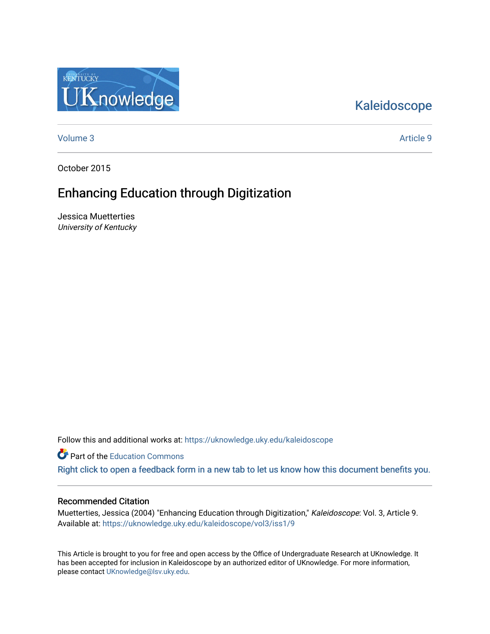## [Kaleidoscope](https://uknowledge.uky.edu/kaleidoscope)

[Volume 3](https://uknowledge.uky.edu/kaleidoscope/vol3) Article 9

KENTUCKY

**Knowledge** 

October 2015

### Enhancing Education through Digitization

Jessica Muetterties University of Kentucky

Follow this and additional works at: [https://uknowledge.uky.edu/kaleidoscope](https://uknowledge.uky.edu/kaleidoscope?utm_source=uknowledge.uky.edu%2Fkaleidoscope%2Fvol3%2Fiss1%2F9&utm_medium=PDF&utm_campaign=PDFCoverPages)

**C** Part of the [Education Commons](http://network.bepress.com/hgg/discipline/784?utm_source=uknowledge.uky.edu%2Fkaleidoscope%2Fvol3%2Fiss1%2F9&utm_medium=PDF&utm_campaign=PDFCoverPages)

[Right click to open a feedback form in a new tab to let us know how this document benefits you.](https://uky.az1.qualtrics.com/jfe/form/SV_9mq8fx2GnONRfz7)

#### Recommended Citation

Muetterties, Jessica (2004) "Enhancing Education through Digitization," Kaleidoscope: Vol. 3, Article 9. Available at: [https://uknowledge.uky.edu/kaleidoscope/vol3/iss1/9](https://uknowledge.uky.edu/kaleidoscope/vol3/iss1/9?utm_source=uknowledge.uky.edu%2Fkaleidoscope%2Fvol3%2Fiss1%2F9&utm_medium=PDF&utm_campaign=PDFCoverPages) 

This Article is brought to you for free and open access by the Office of Undergraduate Research at UKnowledge. It has been accepted for inclusion in Kaleidoscope by an authorized editor of UKnowledge. For more information, please contact [UKnowledge@lsv.uky.edu.](mailto:UKnowledge@lsv.uky.edu)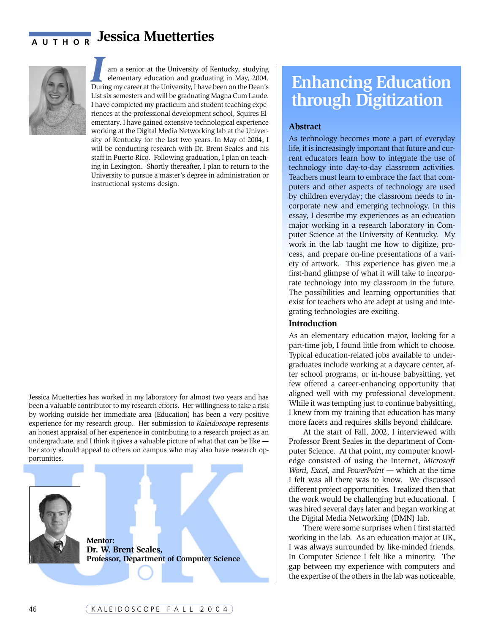## **AUTHOR** Jessica Muetterties



I
I
am a senior at the University of Kentucky, studying<br>
elementary education and graduating in May, 2004.<br>
During my career at the University, I have been on the Dean's am a senior at the University of Kentucky, studying elementary education and graduating in May, 2004. List six semesters and will be graduating Magna Cum Laude. I have completed my practicum and student teaching experiences at the professional development school, Squires Elementary. I have gained extensive technological experience working at the Digital Media Networking lab at the University of Kentucky for the last two years. In May of 2004, I will be conducting research with Dr. Brent Seales and his staff in Puerto Rico. Following graduation, I plan on teaching in Lexington. Shortly thereafter, I plan to return to the University to pursue a master's degree in administration or instructional systems design.

Jessica Muetterties has worked in my laboratory for almost two years and has been a valuable contributor to my research efforts. Her willingness to take a risk by working outside her immediate area (Education) has been a very positive experience for my research group. Her submission to *Kaleidoscop*e represents an honest appraisal of her experience in contributing to a research project as an undergraduate, and I think it gives a valuable picture of what that can be like her story should appeal to others on campus who may also have research opportunities.



**Mentor: Dr. W. Brent Seales, Professor, Department of Computer Science**

# **Enhancing Education through Digitization**

#### **Abstract**

As technology becomes more a part of everyday life, it is increasingly important that future and current educators learn how to integrate the use of technology into day-to-day classroom activities. Teachers must learn to embrace the fact that computers and other aspects of technology are used by children everyday; the classroom needs to incorporate new and emerging technology. In this essay, I describe my experiences as an education major working in a research laboratory in Computer Science at the University of Kentucky. My work in the lab taught me how to digitize, process, and prepare on-line presentations of a variety of artwork. This experience has given me a first-hand glimpse of what it will take to incorporate technology into my classroom in the future. The possibilities and learning opportunities that exist for teachers who are adept at using and integrating technologies are exciting.

#### **Introduction**

As an elementary education major, looking for a part-time job, I found little from which to choose. Typical education-related jobs available to undergraduates include working at a daycare center, after school programs, or in-house babysitting, yet few offered a career-enhancing opportunity that aligned well with my professional development. While it was tempting just to continue babysitting, I knew from my training that education has many more facets and requires skills beyond childcare.

At the start of Fall, 2002, I interviewed with Professor Brent Seales in the department of Computer Science. At that point, my computer knowledge consisted of using the Internet, *Microsoft Word, Excel,* and *PowerPoint —* which at the time I felt was all there was to know. We discussed different project opportunities. I realized then that the work would be challenging but educational. I was hired several days later and began working at the Digital Media Networking (DMN) lab.

There were some surprises when I first started working in the lab. As an education major at UK, I was always surrounded by like-minded friends. In Computer Science I felt like a minority. The gap between my experience with computers and the expertise of the others in the lab was noticeable,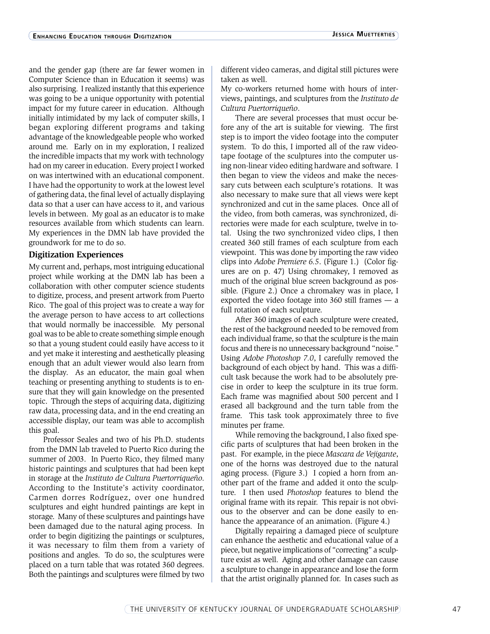and the gender gap (there are far fewer women in Computer Science than in Education it seems) was also surprising. I realized instantly that this experience was going to be a unique opportunity with potential impact for my future career in education. Although initially intimidated by my lack of computer skills, I began exploring different programs and taking advantage of the knowledgeable people who worked around me. Early on in my exploration, I realized the incredible impacts that my work with technology had on my career in education. Every project I worked on was intertwined with an educational component. I have had the opportunity to work at the lowest level of gathering data, the final level of actually displaying data so that a user can have access to it, and various levels in between. My goal as an educator is to make resources available from which students can learn. My experiences in the DMN lab have provided the groundwork for me to do so.

#### **Digitization Experiences**

My current and, perhaps, most intriguing educational project while working at the DMN lab has been a collaboration with other computer science students to digitize, process, and present artwork from Puerto Rico. The goal of this project was to create a way for the average person to have access to art collections that would normally be inaccessible. My personal goal was to be able to create something simple enough so that a young student could easily have access to it and yet make it interesting and aesthetically pleasing enough that an adult viewer would also learn from the display. As an educator, the main goal when teaching or presenting anything to students is to ensure that they will gain knowledge on the presented topic. Through the steps of acquiring data, digitizing raw data, processing data, and in the end creating an accessible display, our team was able to accomplish this goal.

Professor Seales and two of his Ph.D. students from the DMN lab traveled to Puerto Rico during the summer of 2003. In Puerto Rico, they filmed many historic paintings and sculptures that had been kept in storage at the *Instituto de Cultura Puertorriqueño*. According to the Institute's activity coordinator, Carmen dorres Rodríguez, over one hundred sculptures and eight hundred paintings are kept in storage. Many of these sculptures and paintings have been damaged due to the natural aging process. In order to begin digitizing the paintings or sculptures, it was necessary to film them from a variety of positions and angles. To do so, the sculptures were placed on a turn table that was rotated 360 degrees. Both the paintings and sculptures were filmed by two

different video cameras, and digital still pictures were taken as well.

My co-workers returned home with hours of interviews, paintings, and sculptures from the *Instituto de Cultura Puertorriqueño*.

There are several processes that must occur before any of the art is suitable for viewing. The first step is to import the video footage into the computer system. To do this, I imported all of the raw videotape footage of the sculptures into the computer using non-linear video editing hardware and software. I then began to view the videos and make the necessary cuts between each sculpture's rotations. It was also necessary to make sure that all views were kept synchronized and cut in the same places. Once all of the video, from both cameras, was synchronized, directories were made for each sculpture, twelve in total. Using the two synchronized video clips, I then created 360 still frames of each sculpture from each viewpoint. This was done by importing the raw video clips into *Adobe Premiere 6.5*. (Figure 1.) (Color figures are on p. 47) Using chromakey, I removed as much of the original blue screen background as possible. (Figure 2.) Once a chromakey was in place, I exported the video footage into  $360$  still frames  $- a$ full rotation of each sculpture.

After 360 images of each sculpture were created, the rest of the background needed to be removed from each individual frame, so that the sculpture is the main focus and there is no unnecessary background "noise." Using *Adobe Photoshop 7.0*, I carefully removed the background of each object by hand. This was a difficult task because the work had to be absolutely precise in order to keep the sculpture in its true form. Each frame was magnified about 500 percent and I erased all background and the turn table from the frame. This task took approximately three to five minutes per frame.

While removing the background, I also fixed specific parts of sculptures that had been broken in the past. For example, in the piece *Mascara de Vejigante*, one of the horns was destroyed due to the natural aging process. (Figure 3.) I copied a horn from another part of the frame and added it onto the sculpture. I then used *Photoshop* features to blend the original frame with its repair. This repair is not obvious to the observer and can be done easily to enhance the appearance of an animation. (Figure 4.)

Digitally repairing a damaged piece of sculpture can enhance the aesthetic and educational value of a piece, but negative implications of "correcting" a sculpture exist as well. Aging and other damage can cause a sculpture to change in appearance and lose the form that the artist originally planned for. In cases such as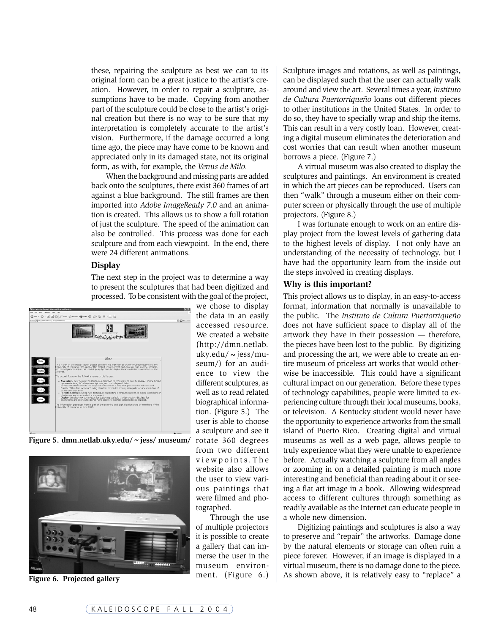these, repairing the sculpture as best we can to its original form can be a great justice to the artist's creation. However, in order to repair a sculpture, assumptions have to be made. Copying from another part of the sculpture could be close to the artist's original creation but there is no way to be sure that my interpretation is completely accurate to the artist's vision. Furthermore, if the damage occurred a long time ago, the piece may have come to be known and appreciated only in its damaged state, not its original form, as with, for example, the *Venus de Milo.*

When the background and missing parts are added back onto the sculptures, there exist 360 frames of art against a blue background. The still frames are then imported into *Adobe ImageReady 7.0* and an animation is created. This allows us to show a full rotation of just the sculpture. The speed of the animation can also be controlled.This process was done for each sculpture and from each viewpoint. In the end, there were 24 different animations.

#### **Display**

The next step in the project was to determine a way to present the sculptures that had been digitized and processed. To be consistent with the goal of the project,



**Figure 5. dmn.netlab.uky.edu/~jess/ museum/**



**Figure 6. Projected gallery**

we chose to display the data in an easily accessed resource. We created a website (http://dmn.netlab. uky.edu/ $\sim$ jess/museum/) for an audience to view the different sculptures, as well as to read related biographical information. (Figure 5.) The user is able to choose a sculpture and see it rotate 360 degrees from two different viewpoints.The website also allows the user to view various paintings that were filmed and photographed.

Through the use of multiple projectors it is possible to create a gallery that can immerse the user in the museum environment. (Figure 6.)

Sculpture images and rotations, as well as paintings, can be displayed such that the user can actually walk around and view the art. Several times a year, *Instituto de Cultura Puertorriqueño* loans out different pieces to other institutions in the United States. In order to do so, they have to specially wrap and ship the items. This can result in a very costly loan. However, creating a digital museum eliminates the deterioration and cost worries that can result when another museum borrows a piece. (Figure 7.)

A virtual museum was also created to display the sculptures and paintings. An environment is created in which the art pieces can be reproduced. Users can then "walk" through a museum either on their computer screen or physically through the use of multiple projectors. (Figure 8.)

I was fortunate enough to work on an entire display project from the lowest levels of gathering data to the highest levels of display. I not only have an understanding of the necessity of technology, but I have had the opportunity learn from the inside out the steps involved in creating displays.

#### **Why is this important?**

This project allows us to display, in an easy-to-access format, information that normally is unavailable to the public. The *Instituto de Cultura Puertorriqueño* does not have sufficient space to display all of the artwork they have in their possession — therefore, the pieces have been lost to the public. By digitizing and processing the art, we were able to create an entire museum of priceless art works that would otherwise be inaccessible. This could have a significant cultural impact on our generation. Before these types of technology capabilities, people were limited to experiencing culture through their local museums, books, or television. A Kentucky student would never have the opportunity to experience artworks from the small island of Puerto Rico. Creating digital and virtual museums as well as a web page, allows people to truly experience what they were unable to experience before. Actually watching a sculpture from all angles or zooming in on a detailed painting is much more interesting and beneficial than reading about it or seeing a flat art image in a book. Allowing widespread access to different cultures through something as readily available as the Internet can educate people in a whole new dimension.

Digitizing paintings and sculptures is also a way to preserve and "repair" the artworks. Damage done by the natural elements or storage can often ruin a piece forever. However, if an image is displayed in a virtual museum, there is no damage done to the piece. As shown above, it is relatively easy to "replace" a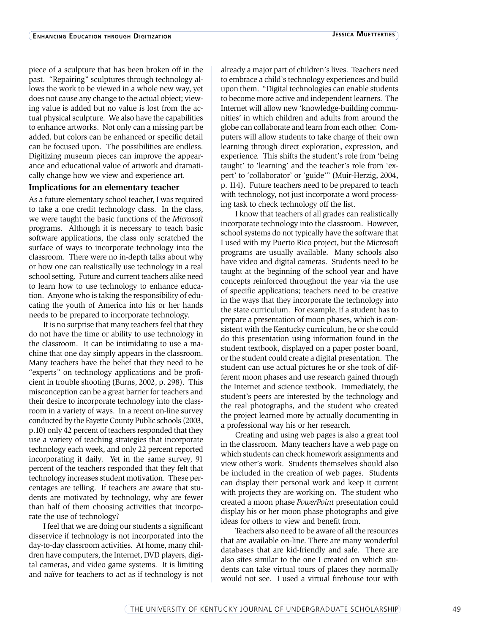piece of a sculpture that has been broken off in the past. "Repairing" sculptures through technology allows the work to be viewed in a whole new way, yet does not cause any change to the actual object; viewing value is added but no value is lost from the actual physical sculpture. We also have the capabilities to enhance artworks. Not only can a missing part be added, but colors can be enhanced or specific detail can be focused upon. The possibilities are endless. Digitizing museum pieces can improve the appearance and educational value of artwork and dramatically change how we view and experience art.

#### **Implications for an elementary teacher**

As a future elementary school teacher, I was required to take a one credit technology class. In the class, we were taught the basic functions of the *Microsoft* programs. Although it is necessary to teach basic software applications, the class only scratched the surface of ways to incorporate technology into the classroom. There were no in-depth talks about why or how one can realistically use technology in a real school setting. Future and current teachers alike need to learn how to use technology to enhance education. Anyone who is taking the responsibility of educating the youth of America into his or her hands needs to be prepared to incorporate technology.

It is no surprise that many teachers feel that they do not have the time or ability to use technology in the classroom. It can be intimidating to use a machine that one day simply appears in the classroom. Many teachers have the belief that they need to be "experts" on technology applications and be proficient in trouble shooting (Burns, 2002, p. 298). This misconception can be a great barrier for teachers and their desire to incorporate technology into the classroom in a variety of ways. In a recent on-line survey conducted by the Fayette County Public schools (2003, p.10) only 42 percent of teachers responded that they use a variety of teaching strategies that incorporate technology each week, and only 22 percent reported incorporating it daily. Yet in the same survey, 91 percent of the teachers responded that they felt that technology increases student motivation. These percentages are telling. If teachers are aware that students are motivated by technology, why are fewer than half of them choosing activities that incorporate the use of technology?

I feel that we are doing our students a significant disservice if technology is not incorporated into the day-to-day classroom activities. At home, many children have computers, the Internet, DVD players, digital cameras, and video game systems. It is limiting and naïve for teachers to act as if technology is not

already a major part of children's lives. Teachers need to embrace a child's technology experiences and build upon them. "Digital technologies can enable students to become more active and independent learners. The Internet will allow new 'knowledge-building communities' in which children and adults from around the globe can collaborate and learn from each other. Computers will allow students to take charge of their own learning through direct exploration, expression, and experience. This shifts the student's role from 'being taught' to 'learning' and the teacher's role from 'expert' to 'collaborator' or 'guide'" (Muir-Herzig, 2004, p. 114). Future teachers need to be prepared to teach with technology, not just incorporate a word processing task to check technology off the list.

I know that teachers of all grades can realistically incorporate technology into the classroom. However, school systems do not typically have the software that I used with my Puerto Rico project, but the Microsoft programs are usually available. Many schools also have video and digital cameras. Students need to be taught at the beginning of the school year and have concepts reinforced throughout the year via the use of specific applications; teachers need to be creative in the ways that they incorporate the technology into the state curriculum. For example, if a student has to prepare a presentation of moon phases, which is consistent with the Kentucky curriculum, he or she could do this presentation using information found in the student textbook, displayed on a paper poster board, or the student could create a digital presentation. The student can use actual pictures he or she took of different moon phases and use research gained through the Internet and science textbook. Immediately, the student's peers are interested by the technology and the real photographs, and the student who created the project learned more by actually documenting in a professional way his or her research.

Creating and using web pages is also a great tool in the classroom. Many teachers have a web page on which students can check homework assignments and view other's work. Students themselves should also be included in the creation of web pages. Students can display their personal work and keep it current with projects they are working on. The student who created a moon phase *PowerPoint* presentation could display his or her moon phase photographs and give ideas for others to view and benefit from.

Teachers also need to be aware of all the resources that are available on-line. There are many wonderful databases that are kid-friendly and safe. There are also sites similar to the one I created on which students can take virtual tours of places they normally would not see. I used a virtual firehouse tour with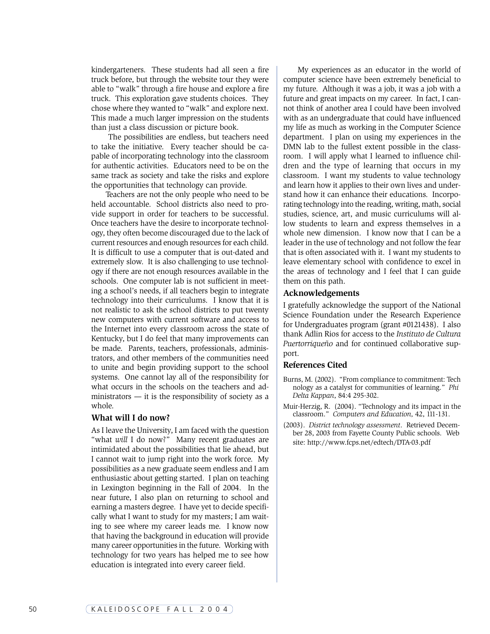kindergarteners. These students had all seen a fire truck before, but through the website tour they were able to "walk" through a fire house and explore a fire truck. This exploration gave students choices. They chose where they wanted to "walk" and explore next. This made a much larger impression on the students than just a class discussion or picture book.

The possibilities are endless, but teachers need to take the initiative. Every teacher should be capable of incorporating technology into the classroom for authentic activities. Educators need to be on the same track as society and take the risks and explore the opportunities that technology can provide.

Teachers are not the only people who need to be held accountable. School districts also need to provide support in order for teachers to be successful. Once teachers have the desire to incorporate technology, they often become discouraged due to the lack of current resources and enough resources for each child. It is difficult to use a computer that is out-dated and extremely slow. It is also challenging to use technology if there are not enough resources available in the schools. One computer lab is not sufficient in meeting a school's needs, if all teachers begin to integrate technology into their curriculums. I know that it is not realistic to ask the school districts to put twenty new computers with current software and access to the Internet into every classroom across the state of Kentucky, but I do feel that many improvements can be made. Parents, teachers, professionals, administrators, and other members of the communities need to unite and begin providing support to the school systems. One cannot lay all of the responsibility for what occurs in the schools on the teachers and administrators — it is the responsibility of society as a whole.

#### **What will I do now?**

As I leave the University, I am faced with the question "what *will* I do now?" Many recent graduates are intimidated about the possibilities that lie ahead, but I cannot wait to jump right into the work force. My possibilities as a new graduate seem endless and I am enthusiastic about getting started. I plan on teaching in Lexington beginning in the Fall of 2004. In the near future, I also plan on returning to school and earning a masters degree. I have yet to decide specifically what I want to study for my masters; I am waiting to see where my career leads me. I know now that having the background in education will provide many career opportunities in the future. Working with technology for two years has helped me to see how education is integrated into every career field.

My experiences as an educator in the world of computer science have been extremely beneficial to my future. Although it was a job, it was a job with a future and great impacts on my career. In fact, I cannot think of another area I could have been involved with as an undergraduate that could have influenced my life as much as working in the Computer Science department. I plan on using my experiences in the DMN lab to the fullest extent possible in the classroom. I will apply what I learned to influence children and the type of learning that occurs in my classroom. I want my students to value technology and learn how it applies to their own lives and understand how it can enhance their educations. Incorporating technology into the reading, writing, math, social studies, science, art, and music curriculums will allow students to learn and express themselves in a whole new dimension. I know now that I can be a leader in the use of technology and not follow the fear that is often associated with it. I want my students to leave elementary school with confidence to excel in the areas of technology and I feel that I can guide them on this path.

#### **Acknowledgements**

I gratefully acknowledge the support of the National Science Foundation under the Research Experience for Undergraduates program (grant #0121438). I also thank Adlin Rios for access to the *Instituto de Cultura Puertorriqueño* and for continued collaborative support.

#### **References Cited**

- Burns, M. (2002). "From compliance to commitment: Tech nology as a catalyst for communities of learning." *Phi Delta Kappan*, 84:4 295-302.
- Muir-Herzig, R. (2004). "Technology and its impact in the classroom." *Computers and Education,* 42, 111-131.
- (2003). *District technology assessment*. Retrieved December 28, 2003 from Fayette County Public schools. Web site: http://www.fcps.net/edtech/DTA-03.pdf